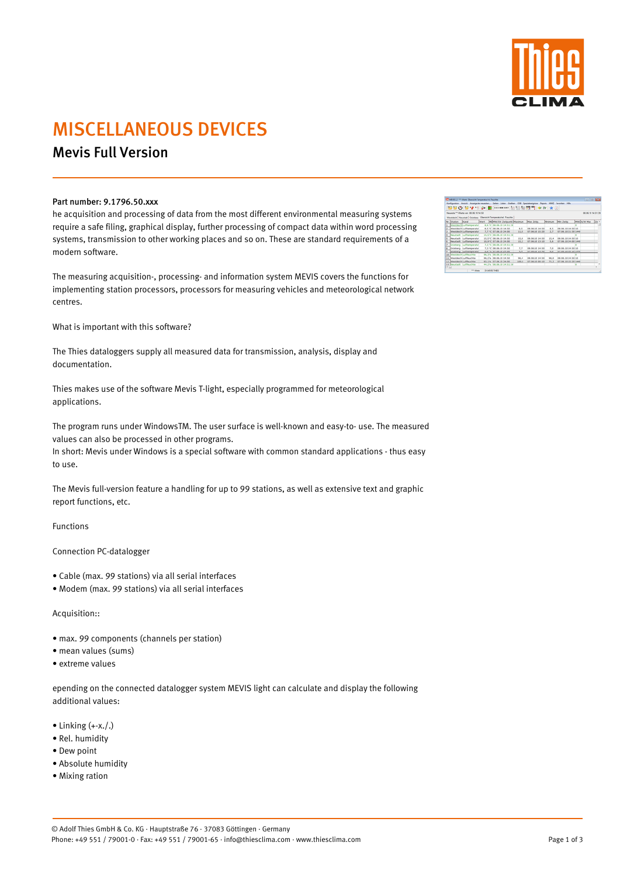

# MISCELLANEOUS DEVICES

## Mevis Full Version

### Part number: 9.1796.50.xxx

he acquisition and processing of data from the most different environmental measuring systems require a safe filing, graphical display, further processing of compact data within word processing systems, transmission to other working places and so on. These are standard requirements of a modern software.

The measuring acquisition-, processing- and information system MEVIS covers the functions for implementing station processors, processors for measuring vehicles and meteorological network centres.

What is important with this software?

The Thies dataloggers supply all measured data for transmission, analysis, display and documentation.

Thies makes use of the software Mevis T-light, especially programmed for meteorological applications.

- $\bullet$  Linking  $(+x. / .)$
- Rel. humidity
- Dew point
- Absolute humidity
- Mixing ration

The program runs under WindowsTM. The user surface is well-known and easy-to- use. The measured values can also be processed in other programs.

In short: Mevis under Windows is a special software with common standard applications - thus easy to use.

The Mevis full-version feature a handling for up to 99 stations, as well as extensive text and graphic report functions, etc.

Functions

Connection PC-datalogger

- Cable (max. 99 stations) via all serial interfaces
- Modem (max. 99 stations) via all serial interfaces

#### Acquisition::

- max. 99 components (channels per station)
- mean values (sums)
- 

|       | Westdeich Treveladt Grünberg |                                          |        |                                               |         |                     | 08.06.10       | 14 51 31 |  |
|-------|------------------------------|------------------------------------------|--------|-----------------------------------------------|---------|---------------------|----------------|----------|--|
|       |                              | <b>Charsicht Temperaturins</b> , Fauchte |        |                                               |         |                     |                |          |  |
|       | Nr. Stution Kanal            |                                          |        | Wert Milletonian perpurint Maximum Max Zeitp. | Minimum | Min Zeitz.          | MAYOR Max 24 - |          |  |
|       | 1   Westdechilumseratur      | 8.6 TC 08.06.30 14:51:39                 |        |                                               |         |                     |                |          |  |
|       | 2 Westdech Lufttemperatur    | 8.5 °C 08.06.30 14:50                    | 8.5    | 08.06.10 14:50                                | 8.5     | 08.06.50 54:55 10   |                |          |  |
|       | Westdeich Lufttamperatur     | 2.7 NO 07-06-10 24:00                    | 13.8   | 07-06-10 15:30                                | 2.7     | 07.06.50 21:30 1440 |                |          |  |
|       | 4 November Lufttemperatur    | 15.5 °C 08.06.10 14:51:30                |        |                                               |         |                     |                |          |  |
| $5 -$ | Novatadt Lufttamperatur      | 15.5 °C 08.06.10 14:50                   | 15.8   | 08.06.10 14:50                                | 15.6    | 08.06.10 14:50 10   |                |          |  |
|       | 6 Novotadt Lufttamperatur    | 10.4 °C 07.06.10 24:00                   | $15-2$ | 07.06.10 13:10                                | 5.6     | 07.06.10 24:00 1440 |                |          |  |
|       | 7 Grünberg Lufttemperatur    | 7.3.NC 08-06-10 14:51:30                 |        |                                               |         |                     |                |          |  |
|       | Grünberg Lufttemperatur      | 7.3 °C 08.06.30 16.50                    | 3.3    | 08.06.10 14:00                                | 7.0     | 08.06.10 14:50 10   |                |          |  |
|       | 9 Gronberg Lufthemperatur    | 2.0 °C 07.06.10 24:00                    | 1.1    | 07.06.10 13:40                                | 3.0     | 07.06.10.05:10.1440 |                |          |  |
|       | 10 Westdech Luftfeuchte      | 96.3% 08.06.10 14:51:30                  |        |                                               |         |                     |                |          |  |
|       | 11 Westdech Luftfeuchte      | 96.2% 08.06.10 14.50                     | 96.4   | 08.06.10 14:50                                | 96.0    | 08.06.10 14:50 10   |                |          |  |
|       | 12 Westdech Luftfeuchte      | 93.1% 07.06.30 24:00                     | 100.0  | 07.06.10 00:10                                | 71.2    | 07.06.10 15:20 1440 |                |          |  |
|       | 13 Neustadt Luftheachte      | 44.2% 08.06.30 14:51:39                  |        |                                               |         |                     |                |          |  |

Constitution Service Text

#### • extreme values

epending on the connected datalogger system MEVIS light can calculate and display the following additional values:

© Adolf Thies GmbH & Co. KG · Hauptstraße 76 · 37083 Göttingen · Germany Phone: +49 551 / 79001-0 · Fax: +49 551 / 79001-65 · info@thiesclima.com · www.thiesclima.com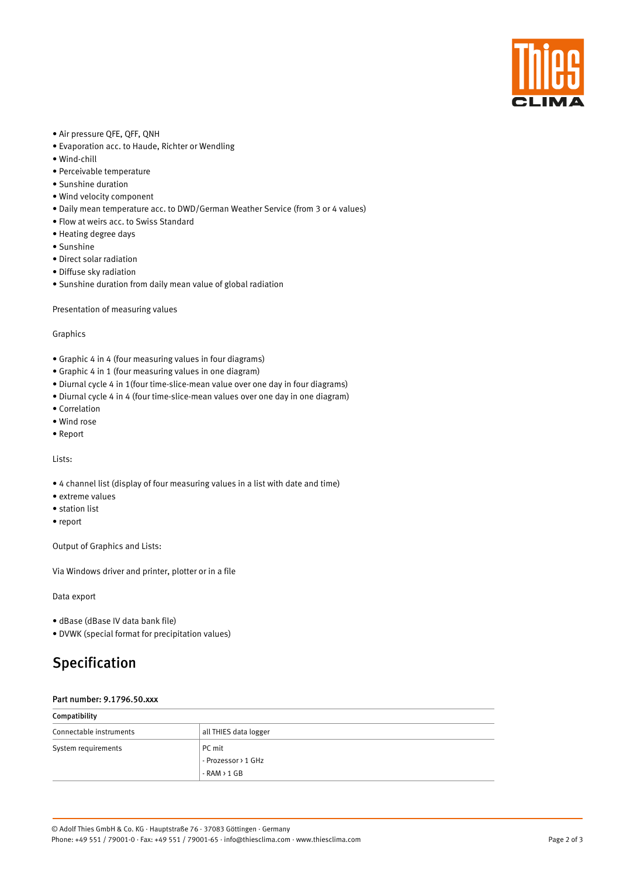

- Air pressure QFE, QFF, QNH
- Evaporation acc. to Haude, Richter or Wendling
- Wind-chill
- Perceivable temperature
- Sunshine duration
- Wind velocity component
- Daily mean temperature acc. to DWD/German Weather Service (from 3 or 4 values)
- Flow at weirs acc. to Swiss Standard
- Heating degree days
- Sunshine
- Direct solar radiation
- Diffuse sky radiation
- Sunshine duration from daily mean value of global radiation

Presentation of measuring values

Graphics

- Graphic 4 in 4 (four measuring values in four diagrams)
- Graphic 4 in 1 (four measuring values in one diagram)
- Diurnal cycle 4 in 1(four time-slice-mean value over one day in four diagrams)
- Diurnal cycle 4 in 4 (four time-slice-mean values over one day in one diagram)
- Correlation
- Wind rose
- Report

Lists:

- 4 channel list (display of four measuring values in a list with date and time)
- extreme values
- station list
- report

Output of Graphics and Lists:

Via Windows driver and printer, plotter or in a file

Data export

- dBase (dBase IV data bank file)
- DVWK (special format for precipitation values)

## Specification

#### Part number: 9.1796.50.xxx

| Compatibility           |                       |  |
|-------------------------|-----------------------|--|
| Connectable instruments | all THIES data logger |  |
| System requirements     | PC mit                |  |
|                         | - Prozessor > 1 GHz   |  |
|                         | $-RAM > 1 GB$         |  |

Page 2 of 3

© Adolf Thies GmbH & Co. KG · Hauptstraße 76 · 37083 Göttingen · Germany Phone: +49 551 / 79001-0 · Fax: +49 551 / 79001-65 · info@thiesclima.com · www.thiesclima.com